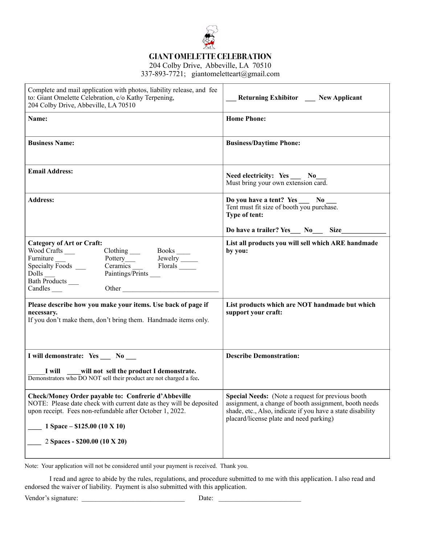

**GIANT OMELETTE CELEBRATION** 

204 Colby Drive, Abbeville, LA 70510 337-893-7721; giantomeletteart@gmail.com

| Complete and mail application with photos, liability release, and fee<br>to: Giant Omelette Celebration, c/o Kathy Terpening,<br>204 Colby Drive, Abbeville, LA 70510                                                                                                                                                                                                                                                                                                                 | <b>Returning Exhibitor</b> Mew Applicant                                                                                                                                                                                    |
|---------------------------------------------------------------------------------------------------------------------------------------------------------------------------------------------------------------------------------------------------------------------------------------------------------------------------------------------------------------------------------------------------------------------------------------------------------------------------------------|-----------------------------------------------------------------------------------------------------------------------------------------------------------------------------------------------------------------------------|
| Name:                                                                                                                                                                                                                                                                                                                                                                                                                                                                                 | <b>Home Phone:</b>                                                                                                                                                                                                          |
| <b>Business Name:</b>                                                                                                                                                                                                                                                                                                                                                                                                                                                                 | <b>Business/Daytime Phone:</b>                                                                                                                                                                                              |
| <b>Email Address:</b>                                                                                                                                                                                                                                                                                                                                                                                                                                                                 | Need electricity: Yes __ No_<br>Must bring your own extension card.                                                                                                                                                         |
| <b>Address:</b>                                                                                                                                                                                                                                                                                                                                                                                                                                                                       | Do you have a tent? Yes __ No.<br>Tent must fit size of booth you purchase.<br>Type of tent:                                                                                                                                |
|                                                                                                                                                                                                                                                                                                                                                                                                                                                                                       | Do have a trailer? Yes__ No__ Size______                                                                                                                                                                                    |
| <b>Category of Art or Craft:</b><br>Wood Crafts<br>Clothing<br>Pottery<br>Ceramics<br>Paintings/Prints<br>2000<br>Paintings/Prints<br>2000<br>2001<br>2001<br>2003<br>2003<br>2003<br>2003<br>2003<br>2003<br>2003<br>2003<br>2003<br>2004<br>2005<br>2004<br>2005<br>2005<br>2005<br>2005<br>2005<br>2005<br>2005<br>2005<br>2005<br>2005<br>2<br>Specialty $\overline{\text{Foods}}$ <sub>____</sub><br>$Dolls$ <sub>—</sub><br>Bath Products<br>Other<br>$Candles$ <sub>____</sub> | List all products you will sell which ARE handmade<br>by you:                                                                                                                                                               |
| Please describe how you make your items. Use back of page if<br>necessary.<br>If you don't make them, don't bring them. Handmade items only.                                                                                                                                                                                                                                                                                                                                          | List products which are NOT handmade but which<br>support your craft:                                                                                                                                                       |
| I will demonstrate: Yes __ No __                                                                                                                                                                                                                                                                                                                                                                                                                                                      | <b>Describe Demonstration:</b>                                                                                                                                                                                              |
| will not sell the product I demonstrate.<br>I will<br>Demonstrators who DO NOT sell their product are not charged a fee.                                                                                                                                                                                                                                                                                                                                                              |                                                                                                                                                                                                                             |
| Check/Money Order payable to: Confrerie d'Abbeville<br>NOTE: Please date check with current date as they will be deposited<br>upon receipt. Fees non-refundable after October 1, 2022.<br>1 Space $-$ \$125.00 (10 X 10)                                                                                                                                                                                                                                                              | <b>Special Needs:</b> (Note a request for previous booth)<br>assignment, a change of booth assignment, booth needs<br>shade, etc., Also, indicate if you have a state disability<br>placard/license plate and need parking) |
| 2 Spaces - \$200.00 (10 X 20)                                                                                                                                                                                                                                                                                                                                                                                                                                                         |                                                                                                                                                                                                                             |

Note: Your application will not be considered until your payment is received. Thank you.

I read and agree to abide by the rules, regulations, and procedure submitted to me with this application. I also read and endorsed the waiver of liability. Payment is also submitted with this application.

Vendor's signature: \_\_\_\_\_\_\_\_\_\_\_\_\_\_\_\_\_\_\_\_\_\_\_\_\_\_\_\_\_\_ Date: \_\_\_\_\_\_\_\_\_\_\_\_\_\_\_\_\_\_\_\_\_\_\_\_